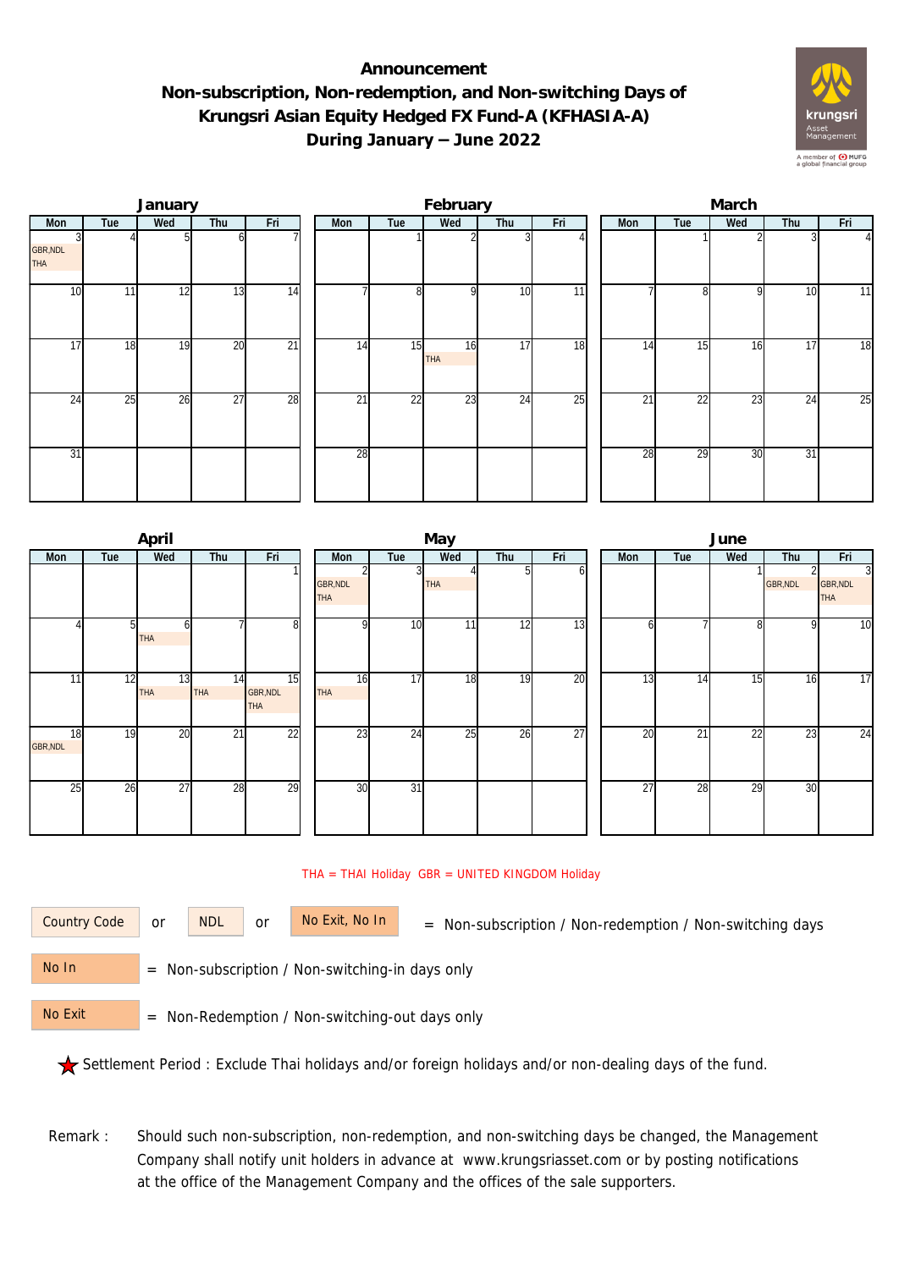## **Announcement Non-subscription, Non-redemption, and Non-switching Days of Krungsri Asian Equity Hedged FX Fund-A (KFHASIA-A) During January – June 2022**



|                        |     | January |                 |                 |     |     | February  |     |                 | March |                 |     |     |                |  |  |
|------------------------|-----|---------|-----------------|-----------------|-----|-----|-----------|-----|-----------------|-------|-----------------|-----|-----|----------------|--|--|
| Mon                    | Tue | Wed     | Thu             | Fri             | Mon | Tue | Wed       | Thu | Fri             | Mon   | Tue             | Wed | Thu | Fri            |  |  |
| GBR, NDL<br><b>THA</b> |     |         | ΩI              |                 |     |     |           |     |                 |       |                 |     |     | $\overline{4}$ |  |  |
| 10                     | 11  | 12      | 13              | 14              |     | 8   | οI        | 10  | $\overline{11}$ |       | 81              | 9   | 10  | 11             |  |  |
| 17                     | 18  | 19      | 20              | $\overline{21}$ | 14  | 15  | 16<br>THA | 17  | 18              | 14    | 15              | 16  | 17  | 18             |  |  |
| 24                     | 25  | 26      | $\overline{27}$ | 28              | 21  | 22  | 23        | 24  | 25              | 21    | $2\overline{2}$ | 23  | 24  | 25             |  |  |
| $\overline{31}$        |     |         |                 |                 | 28  |     |           |     |                 | 28    | 29              | 30  | 31  |                |  |  |

|                 |     | April            |                  |                              |                               |                 | May        |                 |                 | June |     |              |                 |                                          |  |  |
|-----------------|-----|------------------|------------------|------------------------------|-------------------------------|-----------------|------------|-----------------|-----------------|------|-----|--------------|-----------------|------------------------------------------|--|--|
| Mon             | Tue | Wed              | Thu              | Fri                          | Mon                           | Tue             | Wed        | Thu             | Fri             | Mon  | Tue | Wed          | Thu             | Fri                                      |  |  |
|                 |     |                  |                  |                              | <b>GBR, NDL</b><br><b>THA</b> |                 | <b>THA</b> |                 | 61              |      |     |              | GBR, NDL        | $\overline{3}$<br>GBR, NDL<br><b>THA</b> |  |  |
|                 | 51  | ω<br><b>THA</b>  |                  | 8 <sup>1</sup>               | Q                             | 10 <sup>1</sup> | 11         | $1\overline{2}$ | 13              | h    |     | $\mathsf{R}$ | 9               | 10                                       |  |  |
| 11 <sub>l</sub> | 12  | 13<br><b>THA</b> | 14<br><b>THA</b> | 15<br>GBR, NDL<br><b>THA</b> | 16<br>THA                     | $1\overline{7}$ | 18         | 19              | 20              | 13   | 14  | 15           | 16              | 17                                       |  |  |
| 18<br>GBR, NDL  | 19  | 20               | 21               | 22                           | 23                            | 24              | 25         | 26              | $\overline{27}$ | 20   | 21  | 22           | $2\overline{3}$ | 24                                       |  |  |
| 25              | 26  | 27               | 28               | 29                           | 30                            | $\overline{31}$ |            |                 |                 | 27   | 28  | 29           | 30              |                                          |  |  |

## THA = THAI Holiday GBR = UNITED KINGDOM Holiday

or NDL or

Country Code or NDL or No Exit, No In = Non-subscription / Non-redemption / Non-switching days

 = Non-subscription / Non-switching-in days only No In

 = Non-Redemption / Non-switching-out days only No Exit

Settlement Period : Exclude Thai holidays and/or foreign holidays and/or non-dealing days of the fund.

Remark : Should such non-subscription, non-redemption, and non-switching days be changed, the Management Company shall notify unit holders in advance at www.krungsriasset.com or by posting notifications at the office of the Management Company and the offices of the sale supporters.